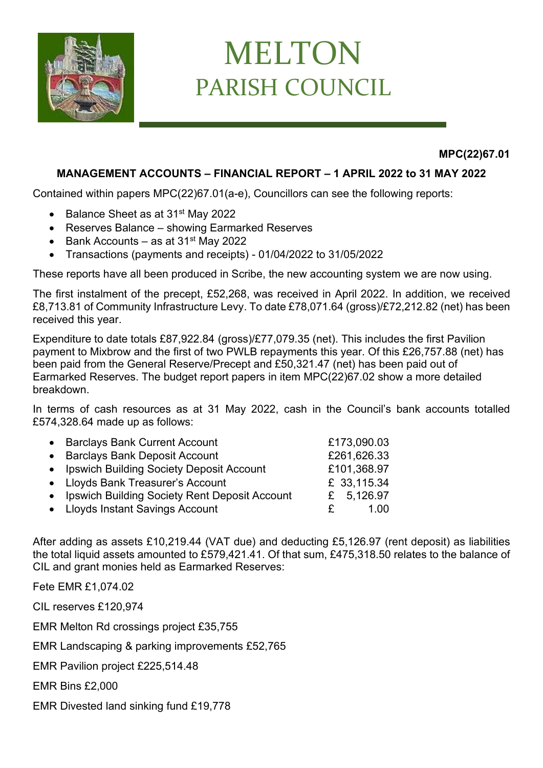

## MELTON PARISH COUNCIL

**MPC(22)67.01**

## **MANAGEMENT ACCOUNTS – FINANCIAL REPORT – 1 APRIL 2022 to 31 MAY 2022**

Contained within papers MPC(22)67.01(a-e), Councillors can see the following reports:

- Balance Sheet as at 31<sup>st</sup> May 2022
- Reserves Balance showing Earmarked Reserves
- Bank Accounts as at  $31<sup>st</sup>$  May 2022
- Transactions (payments and receipts) 01/04/2022 to 31/05/2022

These reports have all been produced in Scribe, the new accounting system we are now using.

The first instalment of the precept, £52,268, was received in April 2022. In addition, we received £8,713.81 of Community Infrastructure Levy. To date £78,071.64 (gross)/£72,212.82 (net) has been received this year.

Expenditure to date totals £87,922.84 (gross)/£77,079.35 (net). This includes the first Pavilion payment to Mixbrow and the first of two PWLB repayments this year. Of this £26,757.88 (net) has been paid from the General Reserve/Precept and £50,321.47 (net) has been paid out of Earmarked Reserves. The budget report papers in item MPC(22)67.02 show a more detailed breakdown.

In terms of cash resources as at 31 May 2022, cash in the Council's bank accounts totalled £574,328.64 made up as follows:

| • Barclays Bank Current Account                 | £173,090.03 |
|-------------------------------------------------|-------------|
| • Barclays Bank Deposit Account                 | £261,626.33 |
| • Ipswich Building Society Deposit Account      | £101,368.97 |
| • Lloyds Bank Treasurer's Account               | £ 33,115.34 |
| • Ipswich Building Society Rent Deposit Account | £ 5,126.97  |
| • Lloyds Instant Savings Account                | 1 Q O       |
|                                                 | £.          |

After adding as assets £10,219.44 (VAT due) and deducting £5,126.97 (rent deposit) as liabilities the total liquid assets amounted to £579,421.41. Of that sum, £475,318.50 relates to the balance of CIL and grant monies held as Earmarked Reserves:

Fete EMR £1,074.02

CIL reserves £120,974

EMR Melton Rd crossings project £35,755

EMR Landscaping & parking improvements £52,765

EMR Pavilion project £225,514.48

EMR Bins £2,000

EMR Divested land sinking fund £19,778